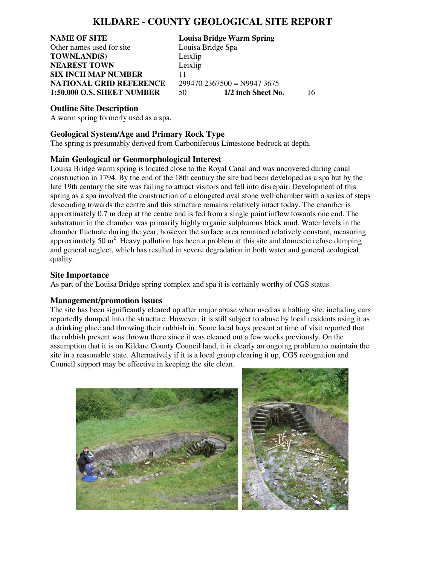## **KILDARE - COUNTY GEOLOGICAL SITE REPORT**

Other names used for site Louisa Bridge Spa **TOWNLAND(S)** Leixlip **NEAREST TOWN** Leixlip **SIX INCH MAP NUMBER** 11 **NATIONAL GRID REFERENCE** 299470 2367500 = N9947 3675

**NAME OF SITE Louisa Bridge Warm Spring 1:50,000 O.S. SHEET NUMBER** 50 **1/2 inch Sheet No.** 16

#### **Outline Site Description**

A warm spring formerly used as a spa.

### **Geological System/Age and Primary Rock Type**

The spring is presumably derived from Carboniferous Limestone bedrock at depth.

#### **Main Geological or Geomorphological Interest**

Louisa Bridge warm spring is located close to the Royal Canal and was uncovered during canal construction in 1794. By the end of the 18th century the site had been developed as a spa but by the late 19th century the site was failing to attract visitors and fell into disrepair. Development of this spring as a spa involved the construction of a elongated oval stone well chamber with a series of steps descending towards the centre and this structure remains relatively intact today. The chamber is approximately 0.7 m deep at the centre and is fed from a single point inflow towards one end. The substratum in the chamber was primarily highly organic sulphurous black mud. Water levels in the chamber fluctuate during the year, however the surface area remained relatively constant, measuring approximately 50  $m^2$ . Heavy pollution has been a problem at this site and domestic refuse dumping and general neglect, which has resulted in severe degradation in both water and general ecological quality.

#### **Site Importance**

As part of the Louisa Bridge spring complex and spa it is certainly worthy of CGS status.

#### **Management/promotion issues**

The site has been significantly cleared up after major abuse when used as a halting site, including cars reportedly dumped into the structure. However, it is still subject to abuse by local residents using it as a drinking place and throwing their rubbish in. Some local boys present at time of visit reported that the rubbish present was thrown there since it was cleaned out a few weeks previously. On the assumption that it is on Kildare County Council land, it is clearly an ongoing problem to maintain the site in a reasonable state. Alternatively if it is a local group clearing it up, CGS recognition and Council support may be effective in keeping the site clean.